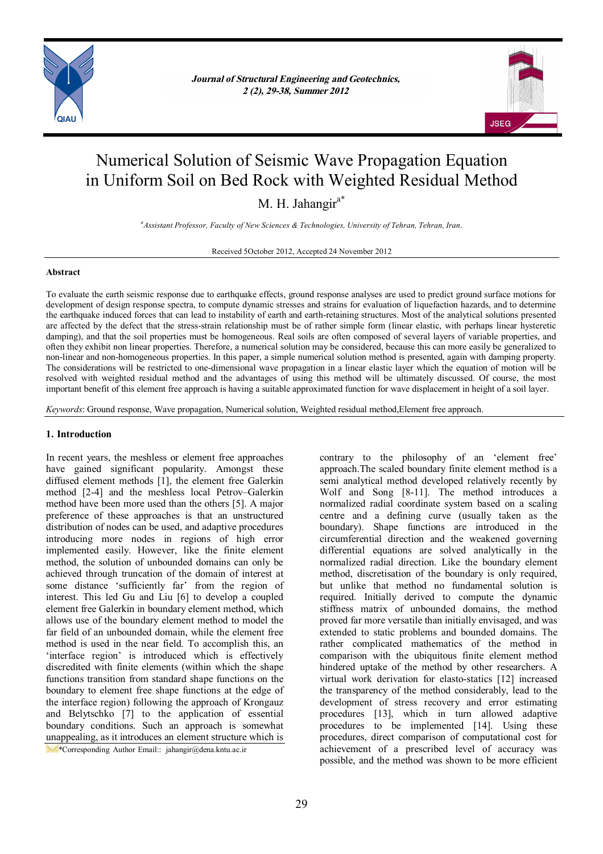

*Journal of Structural Engineering and Geotechnics, Journal of Structural Engineering and Geotechnics, 1 (1), 1-5, Spring 2011 2 (2), 29-38, Summer 2012*



# Numerical Solution of Seismic Wave Propagation Equation in Uniform Soil on Bed Rock with Weighted Residual Method

M. H. Jahangir<sup>a\*</sup>

*<sup>a</sup>Assistant Professor, Faculty of New Sciences & Technologies, University of Tehran, Tehran, Iran.*

Received 5October 2012, Accepted 24 November 2012

# **Abstract**

To evaluate the earth seismic response due to earthquake effects, ground response analyses are used to predict ground surface motions for development of design response spectra, to compute dynamic stresses and strains for evaluation of liquefaction hazards, and to determine the earthquake induced forces that can lead to instability of earth and earth-retaining structures. Most of the analytical solutions presented are affected by the defect that the stress-strain relationship must be of rather simple form (linear elastic, with perhaps linear hysteretic damping), and that the soil properties must be homogeneous. Real soils are often composed of several layers of variable properties, and often they exhibit non linear properties. Therefore, a numerical solution may be considered, because this can more easily be generalized to non-linear and non-homogeneous properties. In this paper, a simple numerical solution method is presented, again with damping property. The considerations will be restricted to one-dimensional wave propagation in a linear elastic layer which the equation of motion will be resolved with weighted residual method and the advantages of using this method will be ultimately discussed. Of course, the most important benefit of this element free approach is having a suitable approximated function for wave displacement in height of a soil layer.

*Keywords*: Ground response, Wave propagation, Numerical solution, Weighted residual method,Element free approach.

# **1. Introduction**

In recent years, the meshless or element free approaches have gained significant popularity. Amongst these diffused element methods [1], the element free Galerkin method [2-4] and the meshless local Petrov–Galerkin method have been more used than the others [5]. A major preference of these approaches is that an unstructured distribution of nodes can be used, and adaptive procedures introducing more nodes in regions of high error implemented easily. However, like the finite element method, the solution of unbounded domains can only be achieved through truncation of the domain of interest at some distance 'sufficiently far' from the region of interest. This led Gu and Liu [6] to develop a coupled element free Galerkin in boundary element method, which allows use of the boundary element method to model the far field of an unbounded domain, while the element free method is used in the near field. To accomplish this, an 'interface region' is introduced which is effectively discredited with finite elements (within which the shape functions transition from standard shape functions on the boundary to element free shape functions at the edge of the interface region) following the approach of Krongauz and Belytschko [7] to the application of essential boundary conditions. Such an approach is somewhat unappealing, as it introduces an element structure which is

\*Corresponding Author Email:: jahangir@dena.kntu.ac.ir

contrary to the philosophy of an 'element free' approach.The scaled boundary finite element method is a semi analytical method developed relatively recently by Wolf and Song [8-11]. The method introduces a normalized radial coordinate system based on a scaling centre and a defining curve (usually taken as the boundary). Shape functions are introduced in the circumferential direction and the weakened governing differential equations are solved analytically in the normalized radial direction. Like the boundary element method, discretisation of the boundary is only required, but unlike that method no fundamental solution is required. Initially derived to compute the dynamic stiffness matrix of unbounded domains, the method proved far more versatile than initially envisaged, and was extended to static problems and bounded domains. The rather complicated mathematics of the method in comparison with the ubiquitous finite element method hindered uptake of the method by other researchers. A virtual work derivation for elasto-statics [12] increased the transparency of the method considerably, lead to the development of stress recovery and error estimating procedures [13], which in turn allowed adaptive procedures to be implemented [14]. Using these procedures, direct comparison of computational cost for achievement of a prescribed level of accuracy was possible, and the method was shown to be more efficient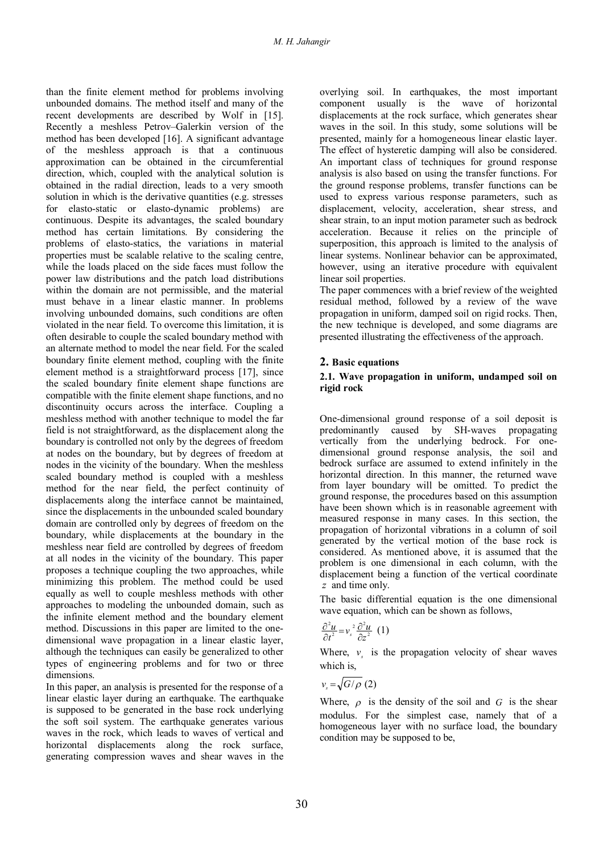than the finite element method for problems involving unbounded domains. The method itself and many of the recent developments are described by Wolf in [15]. Recently a meshless Petrov–Galerkin version of the method has been developed [16]. A significant advantage of the meshless approach is that a continuous approximation can be obtained in the circumferential direction, which, coupled with the analytical solution is obtained in the radial direction, leads to a very smooth solution in which is the derivative quantities (e.g. stresses for elasto-static or elasto-dynamic problems) are continuous. Despite its advantages, the scaled boundary method has certain limitations. By considering the problems of elasto-statics, the variations in material properties must be scalable relative to the scaling centre, while the loads placed on the side faces must follow the power law distributions and the patch load distributions within the domain are not permissible, and the material must behave in a linear elastic manner. In problems involving unbounded domains, such conditions are often violated in the near field. To overcome this limitation, it is often desirable to couple the scaled boundary method with an alternate method to model the near field. For the scaled boundary finite element method, coupling with the finite element method is a straightforward process [17], since the scaled boundary finite element shape functions are compatible with the finite element shape functions, and no discontinuity occurs across the interface. Coupling a meshless method with another technique to model the far field is not straightforward, as the displacement along the boundary is controlled not only by the degrees of freedom at nodes on the boundary, but by degrees of freedom at nodes in the vicinity of the boundary. When the meshless scaled boundary method is coupled with a meshless method for the near field, the perfect continuity of displacements along the interface cannot be maintained, since the displacements in the unbounded scaled boundary domain are controlled only by degrees of freedom on the boundary, while displacements at the boundary in the meshless near field are controlled by degrees of freedom at all nodes in the vicinity of the boundary. This paper proposes a technique coupling the two approaches, while minimizing this problem. The method could be used equally as well to couple meshless methods with other approaches to modeling the unbounded domain, such as the infinite element method and the boundary element method. Discussions in this paper are limited to the onedimensional wave propagation in a linear elastic layer, although the techniques can easily be generalized to other types of engineering problems and for two or three dimensions.

In this paper, an analysis is presented for the response of a linear elastic layer during an earthquake. The earthquake is supposed to be generated in the base rock underlying the soft soil system. The earthquake generates various waves in the rock, which leads to waves of vertical and horizontal displacements along the rock surface, generating compression waves and shear waves in the

overlying soil. In earthquakes, the most important component usually is the wave of horizontal displacements at the rock surface, which generates shear waves in the soil. In this study, some solutions will be presented, mainly for a homogeneous linear elastic layer. The effect of hysteretic damping will also be considered. An important class of techniques for ground response analysis is also based on using the transfer functions. For the ground response problems, transfer functions can be used to express various response parameters, such as displacement, velocity, acceleration, shear stress, and shear strain, to an input motion parameter such as bedrock acceleration. Because it relies on the principle of superposition, this approach is limited to the analysis of linear systems. Nonlinear behavior can be approximated, however, using an iterative procedure with equivalent linear soil properties.

The paper commences with a brief review of the weighted residual method, followed by a review of the wave propagation in uniform, damped soil on rigid rocks. Then, the new technique is developed, and some diagrams are presented illustrating the effectiveness of the approach.

# **2. Basic equations**

## **2.1. Wave propagation in uniform, undamped soil on rigid rock**

One-dimensional ground response of a soil deposit is predominantly caused by SH-waves propagating vertically from the underlying bedrock. For onedimensional ground response analysis, the soil and bedrock surface are assumed to extend infinitely in the horizontal direction. In this manner, the returned wave from layer boundary will be omitted. To predict the ground response, the procedures based on this assumption have been shown which is in reasonable agreement with measured response in many cases. In this section, the propagation of horizontal vibrations in a column of soil generated by the vertical motion of the base rock is considered. As mentioned above, it is assumed that the problem is one dimensional in each column, with the displacement being a function of the vertical coordinate *z* and time only.

The basic differential equation is the one dimensional wave equation, which can be shown as follows,

$$
\frac{\partial^2 u}{\partial t^2} = v_s^2 \frac{\partial^2 u}{\partial z^2} (1)
$$

Where,  $v_s$  is the propagation velocity of shear waves which is,

$$
v_s = \sqrt{G/\rho} \ (2)
$$

Where,  $\rho$  is the density of the soil and *G* is the shear modulus. For the simplest case, namely that of a homogeneous layer with no surface load, the boundary condition may be supposed to be,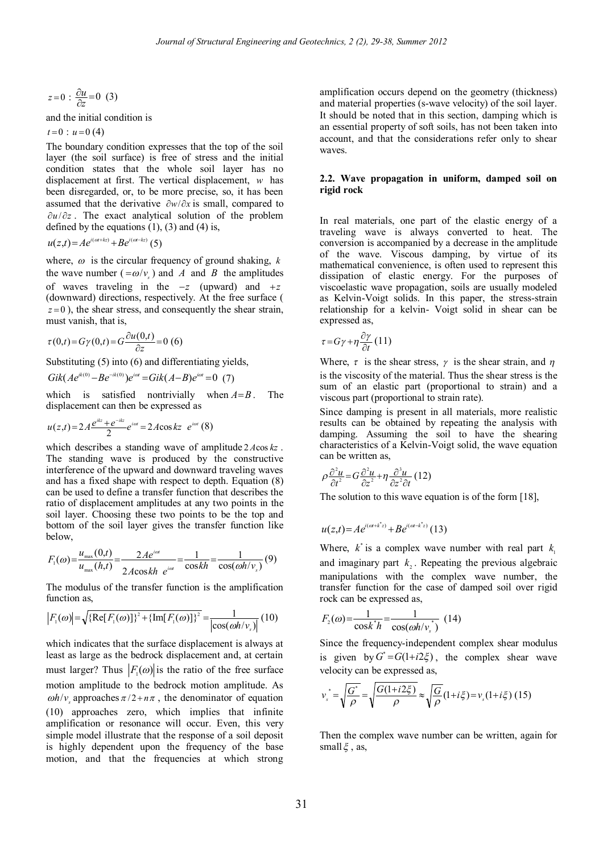$$
z=0:\frac{\partial u}{\partial z}=0
$$
 (3)

and the initial condition is

 $t = 0$  :  $u = 0$  (4)

The boundary condition expresses that the top of the soil layer (the soil surface) is free of stress and the initial condition states that the whole soil layer has no displacement at first. The vertical displacement, *w* has been disregarded, or, to be more precise, so, it has been assumed that the derivative  $\partial w / \partial x$  is small, compared to  $\partial u / \partial z$ . The exact analytical solution of the problem defined by the equations  $(1)$ ,  $(3)$  and  $(4)$  is,

$$
u(z,t) = Ae^{i(\omega t + kz)} + Be^{i(\omega t - kz)}(5)
$$

where,  $\omega$  is the circular frequency of ground shaking,  $k$ the wave number  $(=\omega / v_s)$  and *A* and *B* the amplitudes of waves traveling in the  $-z$  (upward) and  $+z$ (downward) directions, respectively. At the free surface (  $z=0$ ), the shear stress, and consequently the shear strain, must vanish, that is,

$$
\tau(0,t) = G\gamma(0,t) = G\frac{\partial u(0,t)}{\partial z} = 0
$$
 (6)

Substituting (5) into (6) and differentiating yields,

$$
Gik(Ae^{ik(0)} - Be^{-ik(0)})e^{i\omega t} = Gik(A-B)e^{i\omega t} = 0 \tag{7}
$$

which is satisfied nontrivially when  $A = B$ . The displacement can then be expressed as

$$
u(z,t) = 2A \frac{e^{ikz} + e^{-ikz}}{2} e^{i\omega t} = 2A \cos kz \ e^{i\omega t} (8)
$$

which describes a standing wave of amplitude 2*A*cos *kz* . The standing wave is produced by the constructive interference of the upward and downward traveling waves and has a fixed shape with respect to depth. Equation (8) can be used to define a transfer function that describes the ratio of displacement amplitudes at any two points in the soil layer. Choosing these two points to be the top and bottom of the soil layer gives the transfer function like below,

$$
F_1(\omega) = \frac{u_{\text{max}}(0,t)}{u_{\text{max}}(h,t)} = \frac{2Ae^{i\omega t}}{2A\cos kh \ e^{i\omega t}} = \frac{1}{\cos kh} = \frac{1}{\cos(\omega h/v_s)}(9)
$$

The modulus of the transfer function is the amplification function as.

$$
|F_1(\omega)| = \sqrt{\{\text{Re}[F_1(\omega)]\}^2 + \{\text{Im}[F_1(\omega)]\}^2} = \frac{1}{|\cos(\omega h/v_s)|} (10)
$$

which indicates that the surface displacement is always at least as large as the bedrock displacement and, at certain must larger? Thus  $|F_1(\omega)|$  is the ratio of the free surface motion amplitude to the bedrock motion amplitude. As  $\omega h/v$  approaches  $\pi/2 + n\pi$ , the denominator of equation (10) approaches zero, which implies that infinite amplification or resonance will occur. Even, this very simple model illustrate that the response of a soil deposit is highly dependent upon the frequency of the base motion, and that the frequencies at which strong amplification occurs depend on the geometry (thickness) and material properties (s-wave velocity) of the soil layer. It should be noted that in this section, damping which is an essential property of soft soils, has not been taken into account, and that the considerations refer only to shear waves.

## **2.2. Wave propagation in uniform, damped soil on rigid rock**

In real materials, one part of the elastic energy of a traveling wave is always converted to heat. The conversion is accompanied by a decrease in the amplitude of the wave. Viscous damping, by virtue of its mathematical convenience, is often used to represent this dissipation of elastic energy. For the purposes of viscoelastic wave propagation, soils are usually modeled as Kelvin-Voigt solids. In this paper, the stress-strain relationship for a kelvin- Voigt solid in shear can be expressed as,

$$
\tau = G\gamma + \eta \frac{\partial \gamma}{\partial t} (11)
$$

Where,  $\tau$  is the shear stress,  $\gamma$  is the shear strain, and  $\eta$ is the viscosity of the material. Thus the shear stress is the sum of an elastic part (proportional to strain) and a viscous part (proportional to strain rate).

Since damping is present in all materials, more realistic results can be obtained by repeating the analysis with damping. Assuming the soil to have the shearing characteristics of a Kelvin-Voigt solid, the wave equation can be written as,

$$
\rho \frac{\partial^2 u}{\partial t^2} = G \frac{\partial^2 u}{\partial z^2} + \eta \frac{\partial^3 u}{\partial z^2 \partial t} (12)
$$

The solution to this wave equation is of the form [18],

$$
u(z,t) = Ae^{i(\omega t + k^* z)} + Be^{i(\omega t - k^* z)}(13)
$$

Where,  $k^*$  is a complex wave number with real part  $k_1$ and imaginary part  $k<sub>2</sub>$ . Repeating the previous algebraic manipulations with the complex wave number, the transfer function for the case of damped soil over rigid rock can be expressed as,

$$
F_2(\omega) = \frac{1}{\cos k^* h} = \frac{1}{\cos(\omega h / v_s^*)} (14)
$$

Since the frequency-independent complex shear modulus is given by  $G^* = G(1 + i2\xi)$ , the complex shear wave velocity can be expressed as,

$$
v_s^* = \sqrt{\frac{G^*}{\rho}} = \sqrt{\frac{G(1+i2\xi)}{\rho}} \approx \sqrt{\frac{G}{\rho}} (1+i\xi) = v_s (1+i\xi) (15)
$$

Then the complex wave number can be written, again for small  $\xi$ , as,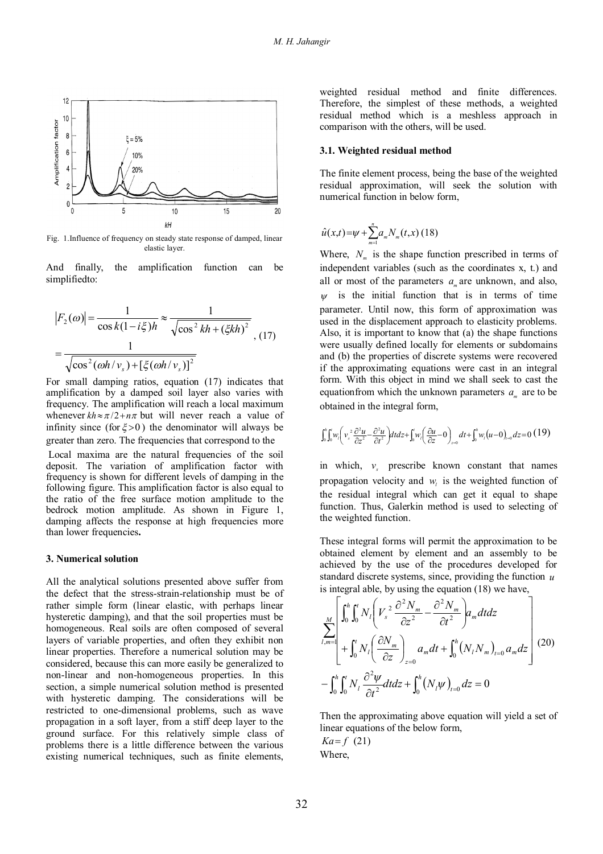

Fig. 1.Influence of frequency on steady state response of damped, linear elastic layer.

And finally, the amplification function can be simplifiedto:

$$
|F_2(\omega)| = \frac{1}{\cos k(1 - i\xi)h} \approx \frac{1}{\sqrt{\cos^2 kh + (\xi kh)^2}}
$$
  
= 
$$
\frac{1}{\sqrt{\cos^2(\omega h/v_s) + [\xi(\omega h/v_s)]^2}}
$$
 (17)

For small damping ratios, equation (17) indicates that amplification by a damped soil layer also varies with frequency. The amplification will reach a local maximum whenever  $kh \approx \pi/2 + n\pi$  but will never reach a value of infinity since (for  $\xi > 0$ ) the denominator will always be greater than zero. The frequencies that correspond to the Local maxima are the natural frequencies of the soil

deposit. The variation of amplification factor with frequency is shown for different levels of damping in the following figure. This amplification factor is also equal to the ratio of the free surface motion amplitude to the bedrock motion amplitude. As shown in Figure 1, damping affects the response at high frequencies more than lower frequencies**.**

#### **3. Numerical solution**

All the analytical solutions presented above suffer from the defect that the stress-strain-relationship must be of rather simple form (linear elastic, with perhaps linear hysteretic damping), and that the soil properties must be homogeneous. Real soils are often composed of several layers of variable properties, and often they exhibit non linear properties. Therefore a numerical solution may be considered, because this can more easily be generalized to non-linear and non-homogeneous properties. In this section, a simple numerical solution method is presented with hysteretic damping. The considerations will be restricted to one-dimensional problems, such as wave propagation in a soft layer, from a stiff deep layer to the ground surface. For this relatively simple class of problems there is a little difference between the various existing numerical techniques, such as finite elements, weighted residual method and finite differences. Therefore, the simplest of these methods, a weighted residual method which is a meshless approach in comparison with the others, will be used.

#### **3.1. Weighted residual method**

The finite element process, being the base of the weighted residual approximation, will seek the solution with numerical function in below form,

$$
\hat{u}(x,t) = \psi + \sum_{m=1}^{n} a_m N_m(t,x) (18)
$$

Where,  $N_m$  is the shape function prescribed in terms of independent variables (such as the coordinates x, t.) and all or most of the parameters  $a_m$  are unknown, and also,  $\nu$  is the initial function that is in terms of time parameter. Until now, this form of approximation was used in the displacement approach to elasticity problems. Also, it is important to know that (a) the shape functions were usually defined locally for elements or subdomains and (b) the properties of discrete systems were recovered if the approximating equations were cast in an integral form. With this object in mind we shall seek to cast the equation from which the unknown parameters  $a_m$  are to be obtained in the integral form,

$$
\int_0^h \int_0^r w_i \left(v_s^2 \frac{\partial^2 u}{\partial z^2} - \frac{\partial^2 u}{\partial t^2}\right) dt dz + \int_0^r w_i \left(\frac{\partial u}{\partial z} - 0\right)_{z=0} dt + \int_0^h w_i \left(u - 0\right)_{z=0} dz = 0 \tag{19}
$$

in which,  $v_s$  prescribe known constant that names propagation velocity and  $w_i$  is the weighted function of the residual integral which can get it equal to shape function. Thus, Galerkin method is used to selecting of the weighted function.

These integral forms will permit the approximation to be obtained element by element and an assembly to be achieved by the use of the procedures developed for standard discrete systems, since, providing the function *u* is integral able, by using the equation (18) we have,

$$
\sum_{l,m=1}^{M} \left| \int_{0}^{h} \int_{0}^{l} N_{l} \left( V_{s}^{2} \frac{\partial^{2} N_{m}}{\partial z^{2}} - \frac{\partial^{2} N_{m}}{\partial t^{2}} \right) a_{m} dt dz \right|
$$
  
+ 
$$
\int_{0}^{h} \int_{0}^{l} N_{l} \left( \frac{\partial N_{m}}{\partial z} \right)_{z=0} a_{m} dt + \int_{0}^{h} (N_{l} N_{m})_{t=0} a_{m} dz \right| (20)
$$
  
- 
$$
\int_{0}^{h} \int_{0}^{l} N_{l} \frac{\partial^{2} \psi}{\partial t^{2}} dt dz + \int_{0}^{h} (N_{l} \psi)_{t=0} dz = 0
$$

Then the approximating above equation will yield a set of linear equations of the below form,  $Ka = f(21)$ 

Where,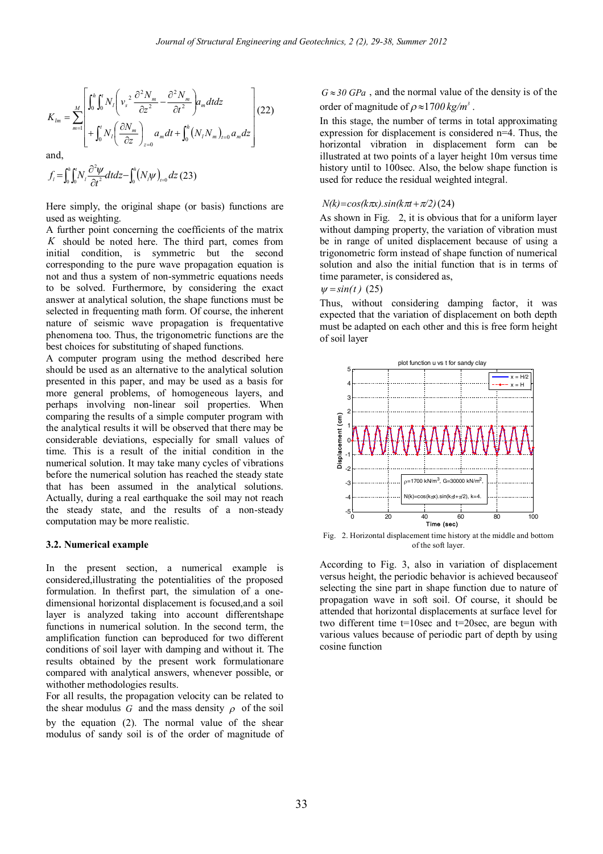$$
K_{lm} = \sum_{m=1}^{M} \left[ \int_0^h \int_0^t N_l \left( v_s^2 \frac{\partial^2 N_m}{\partial z^2} - \frac{\partial^2 N_m}{\partial t^2} \right) a_m dt dz \right] (22)
$$
  
and,  
and,

$$
f_i = \int_0^h \int_0^t N_i \frac{\partial^2 \psi}{\partial t^2} dt dz - \int_0^h (N_i \psi)_{i=0} dz (23)
$$

Here simply, the original shape (or basis) functions are used as weighting.

A further point concerning the coefficients of the matrix *K* should be noted here. The third part, comes from initial condition, is symmetric but the second corresponding to the pure wave propagation equation is not and thus a system of non-symmetric equations needs to be solved. Furthermore, by considering the exact answer at analytical solution, the shape functions must be selected in frequenting math form. Of course, the inherent nature of seismic wave propagation is frequentative phenomena too. Thus, the trigonometric functions are the best choices for substituting of shaped functions.

A computer program using the method described here should be used as an alternative to the analytical solution presented in this paper, and may be used as a basis for more general problems, of homogeneous layers, and perhaps involving non-linear soil properties. When comparing the results of a simple computer program with the analytical results it will be observed that there may be considerable deviations, especially for small values of time. This is a result of the initial condition in the numerical solution. It may take many cycles of vibrations before the numerical solution has reached the steady state that has been assumed in the analytical solutions. Actually, during a real earthquake the soil may not reach the steady state, and the results of a non-steady computation may be more realistic.

#### **3.2. Numerical example**

In the present section, a numerical example is considered,illustrating the potentialities of the proposed formulation. In thefirst part, the simulation of a onedimensional horizontal displacement is focused,and a soil layer is analyzed taking into account differentshape functions in numerical solution. In the second term, the amplification function can beproduced for two different conditions of soil layer with damping and without it. The results obtained by the present work formulationare compared with analytical answers, whenever possible, or withother methodologies results.

For all results, the propagation velocity can be related to the shear modulus  $G$  and the mass density  $\rho$  of the soil by the equation (2). The normal value of the shear modulus of sandy soil is of the order of magnitude of

 $G \approx 30 \text{ GPa}$ , and the normal value of the density is of the order of magnitude of  $\rho \approx 1700 \text{ kg/m}^3$ .

In this stage, the number of terms in total approximating expression for displacement is considered n=4. Thus, the horizontal vibration in displacement form can be illustrated at two points of a layer height 10m versus time history until to 100sec. Also, the below shape function is used for reduce the residual weighted integral.

#### $N(k)=\cos(k\pi x).\sin(k\pi t+\pi/2)$ (24)

As shown in Fig. 2, it is obvious that for a uniform layer without damping property, the variation of vibration must be in range of united displacement because of using a trigonometric form instead of shape function of numerical solution and also the initial function that is in terms of time parameter, is considered as,

 $w = sin(t)$  (25)

Thus, without considering damping factor, it was expected that the variation of displacement on both depth must be adapted on each other and this is free form height of soil layer



Fig. 2. Horizontal displacement time history at the middle and bottom of the soft layer.

According to Fig. 3, also in variation of displacement versus height, the periodic behavior is achieved becauseof selecting the sine part in shape function due to nature of propagation wave in soft soil. Of course, it should be attended that horizontal displacements at surface level for two different time t=10sec and t=20sec, are begun with various values because of periodic part of depth by using cosine function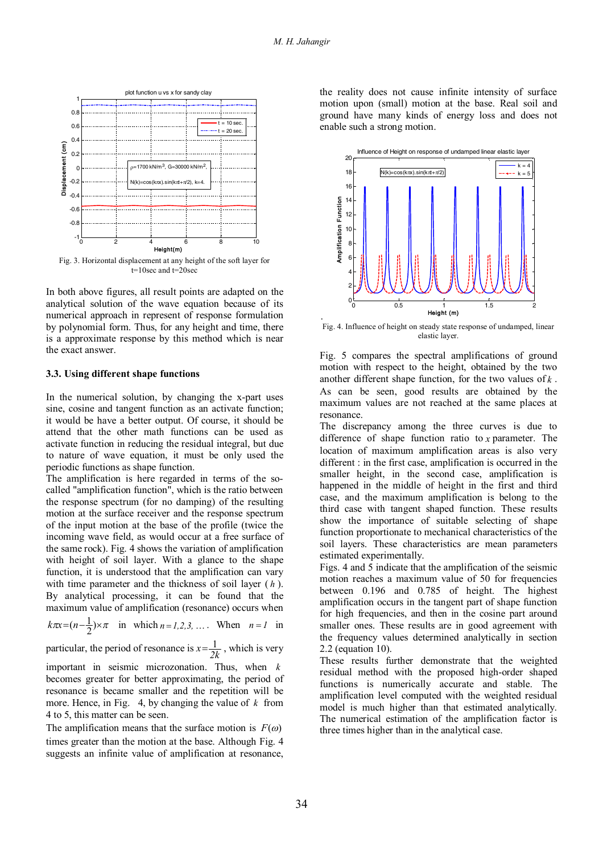.



Fig. 3. Horizontal displacement at any height of the soft layer for t=10sec and t=20sec

In both above figures, all result points are adapted on the analytical solution of the wave equation because of its numerical approach in represent of response formulation by polynomial form. Thus, for any height and time, there is a approximate response by this method which is near the exact answer.

## **3.3. Using different shape functions**

In the numerical solution, by changing the x-part uses sine, cosine and tangent function as an activate function; it would be have a better output. Of course, it should be attend that the other math functions can be used as activate function in reducing the residual integral, but due to nature of wave equation, it must be only used the periodic functions as shape function.

The amplification is here regarded in terms of the socalled "amplification function", which is the ratio between the response spectrum (for no damping) of the resulting motion at the surface receiver and the response spectrum of the input motion at the base of the profile (twice the incoming wave field, as would occur at a free surface of the same rock). Fig. 4 shows the variation of amplification with height of soil layer. With a glance to the shape function, it is understood that the amplification can vary with time parameter and the thickness of soil layer ( *h* ). By analytical processing, it can be found that the maximum value of amplification (resonance) occurs when

 $\pi x = (n - \frac{1}{2}) \times \pi$  $k\pi x = (n - \frac{1}{2}) \times \pi$  in which  $n = 1, 2, 3, ...$  When  $n = 1$  in

particular, the period of resonance is  $x = \frac{1}{2k}$ , which is very

important in seismic microzonation. Thus, when *k* becomes greater for better approximating, the period of resonance is became smaller and the repetition will be more. Hence, in Fig. 4, by changing the value of *k* from 4 to 5, this matter can be seen.

The amplification means that the surface motion is  $F(\omega)$ times greater than the motion at the base. Although Fig. 4 suggests an infinite value of amplification at resonance, the reality does not cause infinite intensity of surface motion upon (small) motion at the base. Real soil and ground have many kinds of energy loss and does not enable such a strong motion.



Fig. 4. Influence of height on steady state response of undamped, linear elastic layer.

Fig. 5 compares the spectral amplifications of ground motion with respect to the height, obtained by the two another different shape function, for the two values of *k* . As can be seen, good results are obtained by the maximum values are not reached at the same places at resonance.

The discrepancy among the three curves is due to difference of shape function ratio to *x* parameter. The location of maximum amplification areas is also very different : in the first case, amplification is occurred in the smaller height, in the second case, amplification is happened in the middle of height in the first and third case, and the maximum amplification is belong to the third case with tangent shaped function. These results show the importance of suitable selecting of shape function proportionate to mechanical characteristics of the soil layers. These characteristics are mean parameters estimated experimentally.

Figs. 4 and 5 indicate that the amplification of the seismic motion reaches a maximum value of 50 for frequencies between 0.196 and 0.785 of height. The highest amplification occurs in the tangent part of shape function for high frequencies, and then in the cosine part around smaller ones. These results are in good agreement with the frequency values determined analytically in section 2.2 (equation 10).

These results further demonstrate that the weighted residual method with the proposed high-order shaped functions is numerically accurate and stable. The amplification level computed with the weighted residual model is much higher than that estimated analytically. The numerical estimation of the amplification factor is three times higher than in the analytical case.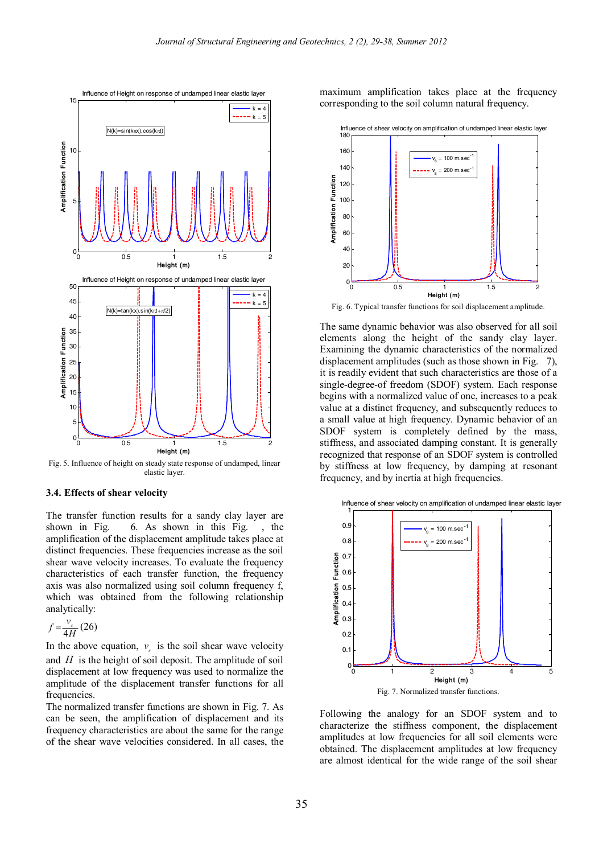

Fig. 5. Influence of height on steady state response of undamped, linear elastic layer.

# **3.4. Effects of shear velocity**

The transfer function results for a sandy clay layer are shown in Fig. 6. As shown in this Fig. , the amplification of the displacement amplitude takes place at distinct frequencies. These frequencies increase as the soil shear wave velocity increases. To evaluate the frequency characteristics of each transfer function, the frequency axis was also normalized using soil column frequency f, which was obtained from the following relationship analytically:

$$
f = \frac{v_s}{4H} \left( 26 \right)
$$

In the above equation,  $v<sub>s</sub>$  is the soil shear wave velocity and *H* is the height of soil deposit. The amplitude of soil displacement at low frequency was used to normalize the amplitude of the displacement transfer functions for all **frequencies** 

The normalized transfer functions are shown in Fig. 7. As can be seen, the amplification of displacement and its frequency characteristics are about the same for the range of the shear wave velocities considered. In all cases, the maximum amplification takes place at the frequency corresponding to the soil column natural frequency.



Fig. 6. Typical transfer functions for soil displacement amplitude.

The same dynamic behavior was also observed for all soil elements along the height of the sandy clay layer. Examining the dynamic characteristics of the normalized displacement amplitudes (such as those shown in Fig. 7), it is readily evident that such characteristics are those of a single-degree-of freedom (SDOF) system. Each response begins with a normalized value of one, increases to a peak value at a distinct frequency, and subsequently reduces to a small value at high frequency. Dynamic behavior of an SDOF system is completely defined by the mass, stiffness, and associated damping constant. It is generally recognized that response of an SDOF system is controlled by stiffness at low frequency, by damping at resonant frequency, and by inertia at high frequencies.



Following the analogy for an SDOF system and to characterize the stiffness component, the displacement amplitudes at low frequencies for all soil elements were obtained. The displacement amplitudes at low frequency are almost identical for the wide range of the soil shear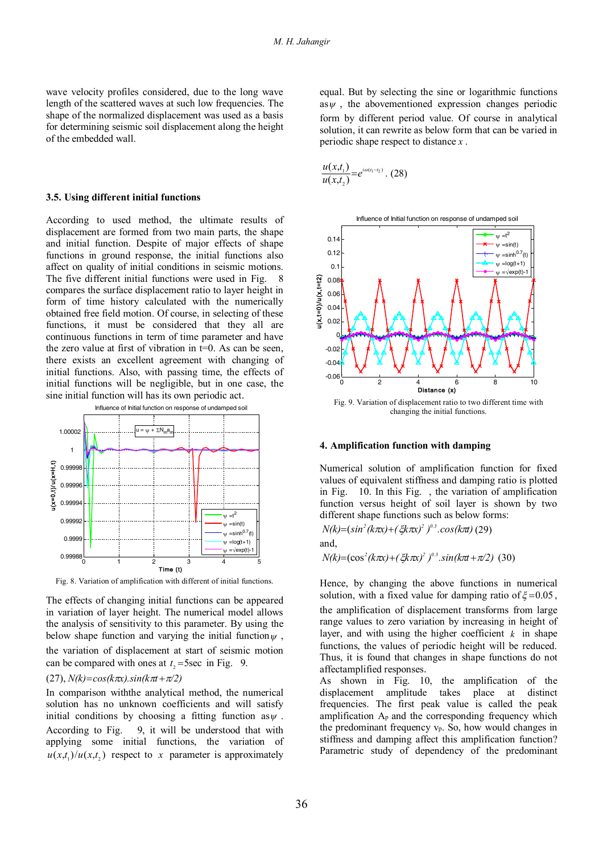wave velocity profiles considered, due to the long wave length of the scattered waves at such low frequencies. The shape of the normalized displacement was used as a basis for determining seismic soil displacement along the height of the embedded wall.

## **3.5. Using different initial functions**

According to used method, the ultimate results of displacement are formed from two main parts, the shape and initial function. Despite of major effects of shape functions in ground response, the initial functions also affect on quality of initial conditions in seismic motions. The five different initial functions were used in Fig. 8 compares the surface displacement ratio to layer height in form of time history calculated with the numerically obtained free field motion. Of course, in selecting of these functions, it must be considered that they all are continuous functions in term of time parameter and have the zero value at first of vibration in  $t=0$ . As can be seen, there exists an excellent agreement with changing of initial functions. Also, with passing time, the effects of initial functions will be negligible, but in one case, the sine initial function will has its own periodic act.



Fig. 8. Variation of amplification with different of initial functions.

The effects of changing initial functions can be appeared in variation of layer height. The numerical model allows the analysis of sensitivity to this parameter. By using the below shape function and varying the initial function  $\psi$ , the variation of displacement at start of seismic motion can be compared with ones at  $t_2$ =5sec in Fig. 9.

## $(27)$ ,  $N(k) = \cos(k\pi x) \cdot \sin(k\pi t + \pi/2)$

In comparison withthe analytical method, the numerical solution has no unknown coefficients and will satisfy initial conditions by choosing a fitting function as  $\psi$ . According to Fig. 9, it will be understood that with applying some initial functions, the variation of  $u(x,t_1)/u(x,t_2)$  respect to x parameter is approximately equal. But by selecting the sine or logarithmic functions as  $\psi$ , the abovementioned expression changes periodic form by different period value. Of course in analytical solution, it can rewrite as below form that can be varied in periodic shape respect to distance *x* .

$$
\frac{u(x,t_1)}{u(x,t_2)} = e^{i\omega(t_1-t_2)} \cdot (28)
$$



#### **4. Amplification function with damping**

Numerical solution of amplification function for fixed values of equivalent stiffness and damping ratio is plotted in Fig. 10. In this Fig. , the variation of amplification function versus height of soil layer is shown by two different shape functions such as below forms:

*N(k) sin (k x) ( k x) ) .cos(k t) <sup>2</sup> <sup>2</sup> 0.3* ( (29)

and,

*N(k)*=(cos<sup>2</sup>(k $\pi x$ )+(ξk $\pi x$ )<sup>2</sup>)<sup>0.3</sup>.sin(k $\pi t$ + $\pi$ /2) (30)

Hence, by changing the above functions in numerical solution, with a fixed value for damping ratio of  $\xi = 0.05$ , the amplification of displacement transforms from large range values to zero variation by increasing in height of layer, and with using the higher coefficient  $k$  in shape functions, the values of periodic height will be reduced. Thus, it is found that changes in shape functions do not affectamplified responses.

As shown in Fig. 10, the amplification of the displacement amplitude takes place at distinct frequencies. The first peak value is called the peak amplification Ap and the corresponding frequency which the predominant frequency vp. So, how would changes in stiffness and damping affect this amplification function? Parametric study of dependency of the predominant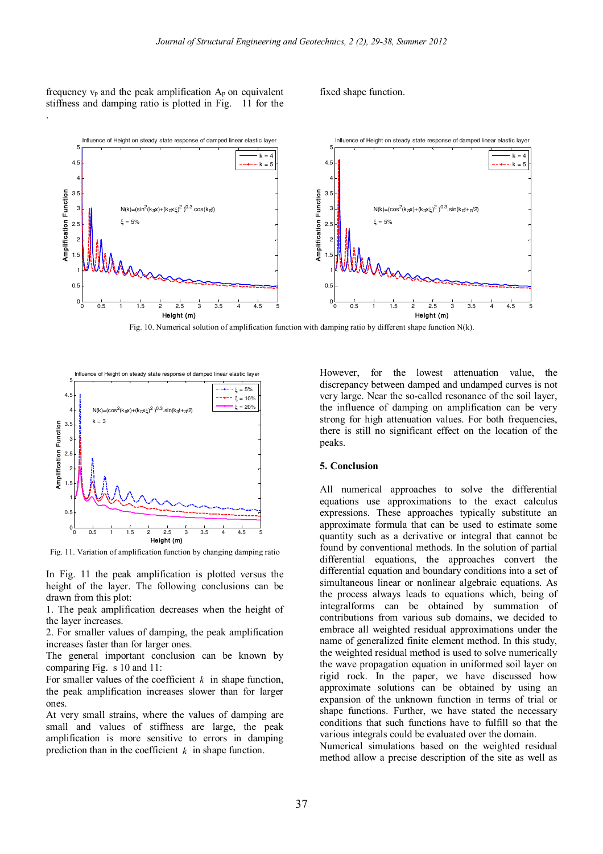frequency  $v_p$  and the peak amplification  $A_p$  on equivalent stiffness and damping ratio is plotted in Fig. 11 for the

.

fixed shape function.



Fig. 10. Numerical solution of amplification function with damping ratio by different shape function N(k).



Fig. 11. Variation of amplification function by changing damping ratio

In Fig. 11 the peak amplification is plotted versus the height of the layer. The following conclusions can be drawn from this plot:

1. The peak amplification decreases when the height of the layer increases.

2. For smaller values of damping, the peak amplification increases faster than for larger ones.

The general important conclusion can be known by comparing Fig. s 10 and 11:

For smaller values of the coefficient *k* in shape function, the peak amplification increases slower than for larger ones.

At very small strains, where the values of damping are small and values of stiffness are large, the peak amplification is more sensitive to errors in damping prediction than in the coefficient *k* in shape function.

However, for the lowest attenuation value, the discrepancy between damped and undamped curves is not very large. Near the so-called resonance of the soil layer the influence of damping on amplification can be very strong for high attenuation values. For both frequencies, there is still no significant effect on the location of the peaks.

## **5. Conclusion**

All numerical approaches to solve the differential equations use approximations to the exact calculus expressions. These approaches typically substitute an approximate formula that can be used to estimate some quantity such as a derivative or integral that cannot be found by conventional methods. In the solution of partial differential equations, the approaches convert the differential equation and boundary conditions into a set of simultaneous linear or nonlinear algebraic equations. As the process always leads to equations which, being of integralforms can be obtained by summation of contributions from various sub domains, we decided to embrace all weighted residual approximations under the name of generalized finite element method. In this study, the weighted residual method is used to solve numerically the wave propagation equation in uniformed soil layer on rigid rock. In the paper, we have discussed how approximate solutions can be obtained by using an expansion of the unknown function in terms of trial or shape functions. Further, we have stated the necessary conditions that such functions have to fulfill so that the various integrals could be evaluated over the domain.

Numerical simulations based on the weighted residual method allow a precise description of the site as well as